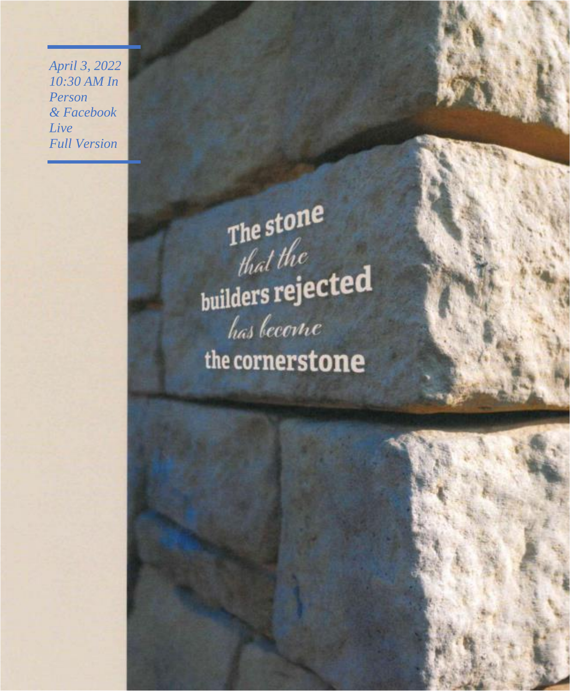*April 3, 2022 10:30 AM In Person & Facebook Live Full Version*

> The stone<br>that the  $\frac{d\theta}{d\theta}$  builders rejected has become the cornerstone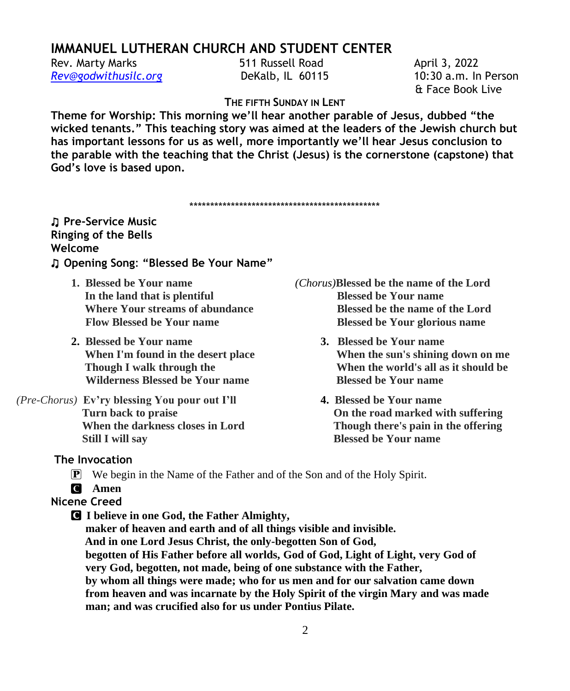# **IMMANUEL LUTHERAN CHURCH AND STUDENT CENTER**

Rev. Marty Marks 511 Russell Road April 3, 2022 *[Rev@godwithusilc.org](mailto:Rev@godwithusilc.org)* DeKalb, IL 60115 10:30 a.m. In Person

& Face Book Live

### **THE FIFTH SUNDAY IN LENT**

**Theme for Worship: This morning we'll hear another parable of Jesus, dubbed "the wicked tenants." This teaching story was aimed at the leaders of the Jewish church but has important lessons for us as well, more importantly we'll hear Jesus conclusion to the parable with the teaching that the Christ (Jesus) is the cornerstone (capstone) that God's love is based upon.** 

\*\*\*\*\*\*\*\*\*\*\*\*\*\*\*\*\*\*\*\*\*\*\*\*\*\*\*\*\*\*\*\*\*\*\*\*\*\*\*\*\*\*\*\*\*\*

### ♫ **Pre-Service Music Ringing of the Bells Welcome** ♫ **Opening Song**: **"Blessed Be Your Name"**

- **1. Blessed be Your name In the land that is plentiful Where Your streams of abundance Flow Blessed be Your name**
- **2. Blessed be Your name When I'm found in the desert place Though I walk through the Wilderness Blessed be Your name**
- *(Pre-Chorus)* **Ev'ry blessing You pour out I'll Turn back to praise When the darkness closes in Lord Still I will say**
- *(Chorus)***Blessed be the name of the Lord Blessed be Your name Blessed be the name of the Lord Blessed be Your glorious name**
	- **3. Blessed be Your name When the sun's shining down on me When the world's all as it should be Blessed be Your name**
	- **4. Blessed be Your name On the road marked with suffering Though there's pain in the offering Blessed be Your name**

#### **The Invocation**

P We begin in the Name of the Father and of the Son and of the Holy Spirit.

# C **Amen**

# **Nicene Creed**

C **I believe in one God, the Father Almighty,**

 **maker of heaven and earth and of all things visible and invisible. And in one Lord Jesus Christ, the only-begotten Son of God, begotten of His Father before all worlds, God of God, Light of Light, very God of very God, begotten, not made, being of one substance with the Father, by whom all things were made; who for us men and for our salvation came down from heaven and was incarnate by the Holy Spirit of the virgin Mary and was made man; and was crucified also for us under Pontius Pilate.**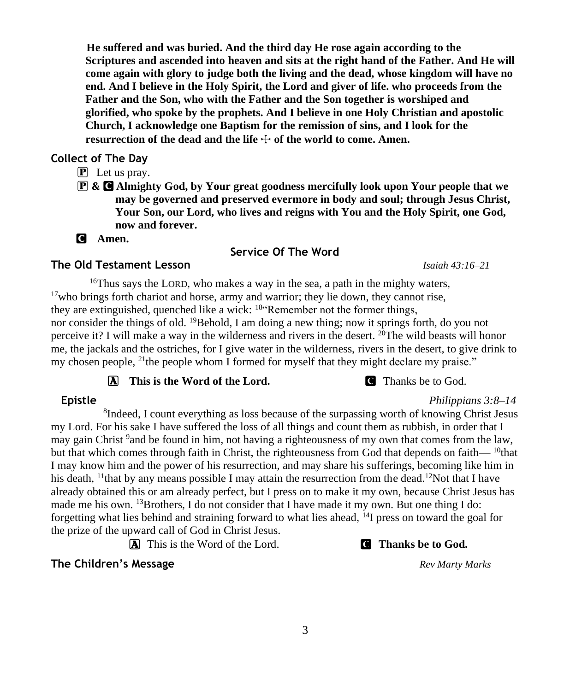**He suffered and was buried. And the third day He rose again according to the Scriptures and ascended into heaven and sits at the right hand of the Father. And He will come again with glory to judge both the living and the dead, whose kingdom will have no end. And I believe in the Holy Spirit, the Lord and giver of life. who proceeds from the Father and the Son, who with the Father and the Son together is worshiped and glorified, who spoke by the prophets. And I believe in one Holy Christian and apostolic Church, I acknowledge one Baptism for the remission of sins, and I look for the resurrection of the dead and the life**  $\pm$  **of the world to come. Amen.** 

# **Collect of The Day**

- P Let us pray.
- P **&** C **Almighty God, by Your great goodness mercifully look upon Your people that we may be governed and preserved evermore in body and soul; through Jesus Christ, Your Son, our Lord, who lives and reigns with You and the Holy Spirit, one God, now and forever.**
- C **Amen.**

# **Service Of The Word**

**The Old Testament Lesson** *Isaiah 43:16–21*

<sup>16</sup>Thus says the LORD, who makes a way in the sea, a path in the mighty waters,  $17$  who brings forth chariot and horse, army and warrior; they lie down, they cannot rise, they are extinguished, quenched like a wick:  $18$  (Remember not the former things, nor consider the things of old. <sup>19</sup>Behold, I am doing a new thing; now it springs forth, do you not perceive it? I will make a way in the wilderness and rivers in the desert. <sup>20</sup>The wild beasts will honor me, the jackals and the ostriches, for I give water in the wilderness, rivers in the desert, to give drink to my chosen people, <sup>21</sup>the people whom I formed for myself that they might declare my praise."

# A **This is the Word of the Lord.** C Thanks be to God.

### **Epistle** *Philippians 3:8–14*

8 Indeed, I count everything as loss because of the surpassing worth of knowing Christ Jesus my Lord. For his sake I have suffered the loss of all things and count them as rubbish, in order that I may gain Christ <sup>9</sup> and be found in him, not having a righteousness of my own that comes from the law, but that which comes through faith in Christ, the righteousness from God that depends on faith— $^{10}$ that I may know him and the power of his resurrection, and may share his sufferings, becoming like him in his death, <sup>11</sup>that by any means possible I may attain the resurrection from the dead.<sup>12</sup>Not that I have already obtained this or am already perfect, but I press on to make it my own, because Christ Jesus has made me his own. <sup>13</sup>Brothers, I do not consider that I have made it my own. But one thing I do: forgetting what lies behind and straining forward to what lies ahead, <sup>14</sup>I press on toward the goal for the prize of the upward call of God in Christ Jesus.

A This is the Word of the Lord.C **Thanks be to God.**

# **The Children's Message** *Rev Marty Marks*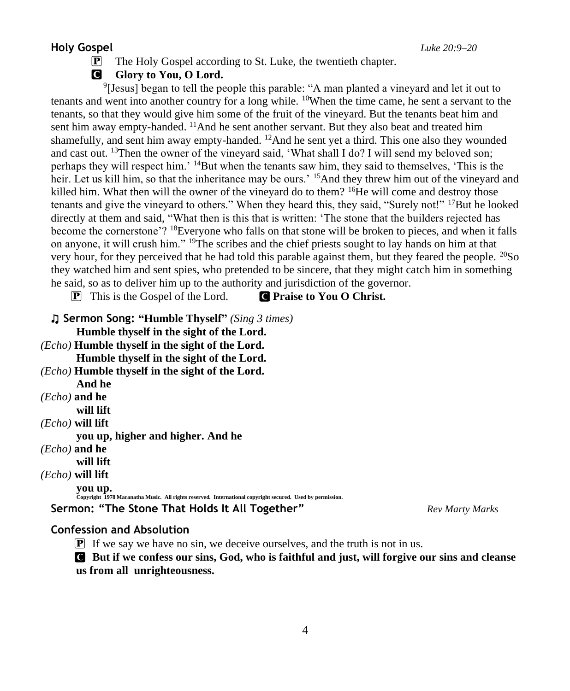#### **Holy Gospel** *Luke 20:9–20*

P The Holy Gospel according to St. Luke, the twentieth chapter.

**G** Glory to You, O Lord.

9 [Jesus] began to tell the people this parable: "A man planted a vineyard and let it out to tenants and went into another country for a long while. <sup>10</sup>When the time came, he sent a servant to the tenants, so that they would give him some of the fruit of the vineyard. But the tenants beat him and sent him away empty-handed.  $<sup>11</sup>$ And he sent another servant. But they also beat and treated him</sup> shamefully, and sent him away empty-handed.  $^{12}$ And he sent yet a third. This one also they wounded and cast out. <sup>13</sup>Then the owner of the vineyard said, 'What shall I do? I will send my beloved son; perhaps they will respect him.' <sup>14</sup>But when the tenants saw him, they said to themselves, 'This is the heir. Let us kill him, so that the inheritance may be ours.' <sup>15</sup>And they threw him out of the vineyard and killed him. What then will the owner of the vineyard do to them?  $16$ He will come and destroy those tenants and give the vineyard to others." When they heard this, they said, "Surely not!" <sup>17</sup>But he looked directly at them and said, "What then is this that is written: 'The stone that the builders rejected has become the cornerstone'? <sup>18</sup>Everyone who falls on that stone will be broken to pieces, and when it falls on anyone, it will crush him." <sup>19</sup>The scribes and the chief priests sought to lay hands on him at that very hour, for they perceived that he had told this parable against them, but they feared the people.  $^{20}$ So they watched him and sent spies, who pretended to be sincere, that they might catch him in something he said, so as to deliver him up to the authority and jurisdiction of the governor.

P This is the Gospel of the Lord. C **Praise to You O Christ.**

```
♫ Sermon Song: "Humble Thyself" (Sing 3 times) 
Humble thyself in the sight of the Lord.
```
*(Echo)* **Humble thyself in the sight of the Lord. Humble thyself in the sight of the Lord.**

*(Echo)* **Humble thyself in the sight of the Lord.**

**And he** *(Echo)* **and he**

**will lift**

*(Echo)* **will lift**

**you up, higher and higher. And he**

*(Echo)* **and he**

**will lift**

*(Echo)* **will lift** 

### **you up.**

 **Copyright 1978 Maranatha Music. All rights reserved. International copyright secured. Used by permission. Sermon: "The Stone That Holds It All Together"** *Rev Marty Marks*

#### **Confession and Absolution**

 $\boxed{\mathbf{P}}$  If we say we have no sin, we deceive ourselves, and the truth is not in us.

 C **But if we confess our sins, God, who is faithful and just, will forgive our sins and cleanse us from all unrighteousness.**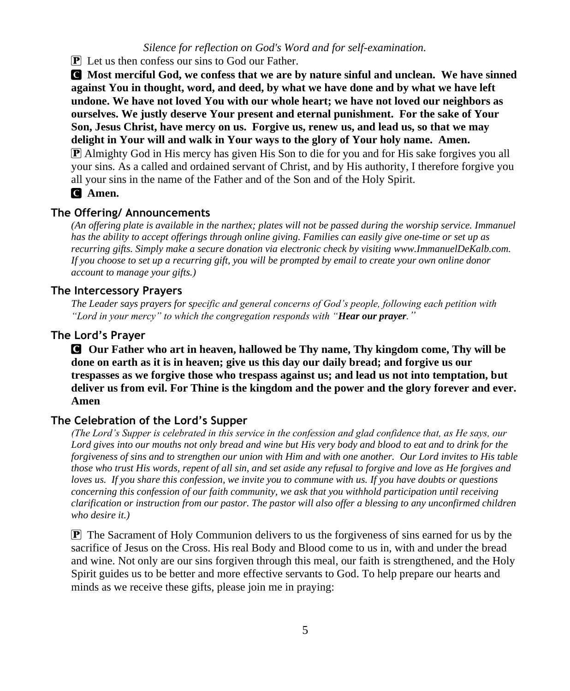### *Silence for reflection on God's Word and for self-examination.*

 $[\mathbf{P}]$  Let us then confess our sins to God our Father.

C **Most merciful God, we confess that we are by nature sinful and unclean. We have sinned against You in thought, word, and deed, by what we have done and by what we have left undone. We have not loved You with our whole heart; we have not loved our neighbors as ourselves. We justly deserve Your present and eternal punishment. For the sake of Your Son, Jesus Christ, have mercy on us. Forgive us, renew us, and lead us, so that we may delight in Your will and walk in Your ways to the glory of Your holy name. Amen.** P Almighty God in His mercy has given His Son to die for you and for His sake forgives you all your sins. As a called and ordained servant of Christ, and by His authority, I therefore forgive you all your sins in the name of the Father and of the Son and of the Holy Spirit.

C **Amen.**

#### **The Offering/ Announcements**

(An offering plate is available in the narthex; plates will not be passed during the worship service. Immanuel has the ability to accept offerings through online giving. Families can easily give one-time or set up as *recurring gifts. Simply make a secure donation via electronic check by visiting www.ImmanuelDeKalb.com.* If you choose to set up a recurring gift, you will be prompted by email to create your own online donor *account to manage your gifts.)*

#### **The Intercessory Prayers**

*The Leader says prayers for specific and general concerns of God's people, following each petition with "Lord in your mercy" to which the congregation responds with "Hear our prayer."* 

#### **The Lord's Prayer**

C **Our Father who art in heaven, hallowed be Thy name, Thy kingdom come, Thy will be done on earth as it is in heaven; give us this day our daily bread; and forgive us our trespasses as we forgive those who trespass against us; and lead us not into temptation, but deliver us from evil. For Thine is the kingdom and the power and the glory forever and ever. Amen**

#### **The Celebration of the Lord's Supper**

*(The Lord's Supper is celebrated in this service in the confession and glad confidence that, as He says, our Lord gives into our mouths not only bread and wine but His very body and blood to eat and to drink for the forgiveness of sins and to strengthen our union with Him and with one another. Our Lord invites to His table those who trust His words, repent of all sin, and set aside any refusal to forgive and love as He forgives and loves us. If you share this confession, we invite you to commune with us. If you have doubts or questions concerning this confession of our faith community, we ask that you withhold participation until receiving clarification or instruction from our pastor. The pastor will also offer a blessing to any unconfirmed children who desire it.)*

 $\mathbb{P}$  The Sacrament of Holy Communion delivers to us the forgiveness of sins earned for us by the sacrifice of Jesus on the Cross. His real Body and Blood come to us in, with and under the bread and wine. Not only are our sins forgiven through this meal, our faith is strengthened, and the Holy Spirit guides us to be better and more effective servants to God. To help prepare our hearts and minds as we receive these gifts, please join me in praying: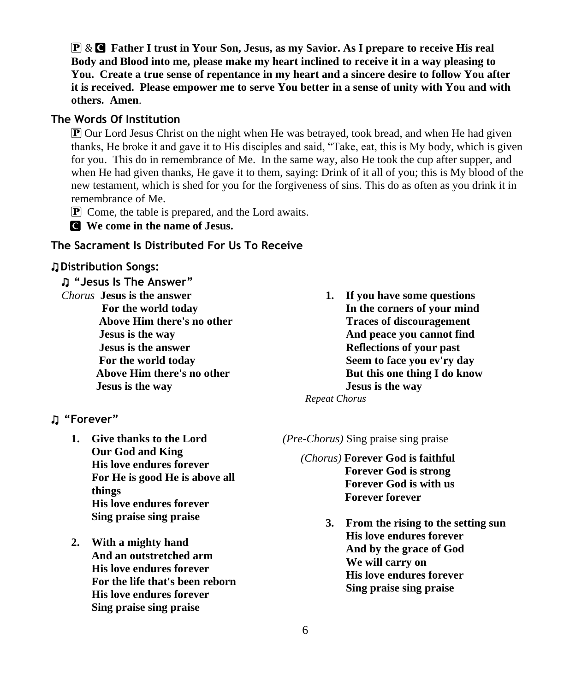P & C **Father I trust in Your Son, Jesus, as my Savior. As I prepare to receive His real Body and Blood into me, please make my heart inclined to receive it in a way pleasing to You. Create a true sense of repentance in my heart and a sincere desire to follow You after it is received. Please empower me to serve You better in a sense of unity with You and with others. Amen**.

### **The Words Of Institution**

 $\mathbb{P}$  Our Lord Jesus Christ on the night when He was betrayed, took bread, and when He had given thanks, He broke it and gave it to His disciples and said, "Take, eat, this is My body, which is given for you. This do in remembrance of Me. In the same way, also He took the cup after supper, and when He had given thanks, He gave it to them, saying: Drink of it all of you; this is My blood of the new testament, which is shed for you for the forgiveness of sins. This do as often as you drink it in remembrance of Me.

P Come, the table is prepared, and the Lord awaits.



### **The Sacrament Is Distributed For Us To Receive**

#### ♫**Distribution Songs:**

♫ **"Jesus Is The Answer"** *Chorus* **Jesus is the answer For the world today Above Him there's no other Jesus is the way Jesus is the answer For the world today Above Him there's no other Jesus is the way**

# ♫ **"Forever"**

- **1. Give thanks to the Lord Our God and King His love endures forever For He is good He is above all things His love endures forever Sing praise sing praise**
- **2. With a mighty hand And an outstretched arm His love endures forever For the life that's been reborn His love endures forever Sing praise sing praise**
- **1. If you have some questions In the corners of your mind Traces of discouragement And peace you cannot find Reflections of your past Seem to face you ev'ry day But this one thing I do know Jesus is the way** *Repeat Chorus*
- *(Pre-Chorus)* Sing praise sing praise
	- *(Chorus)* **Forever God is faithful Forever God is strong Forever God is with us Forever forever**
		- **3. From the rising to the setting sun His love endures forever And by the grace of God We will carry on His love endures forever Sing praise sing praise**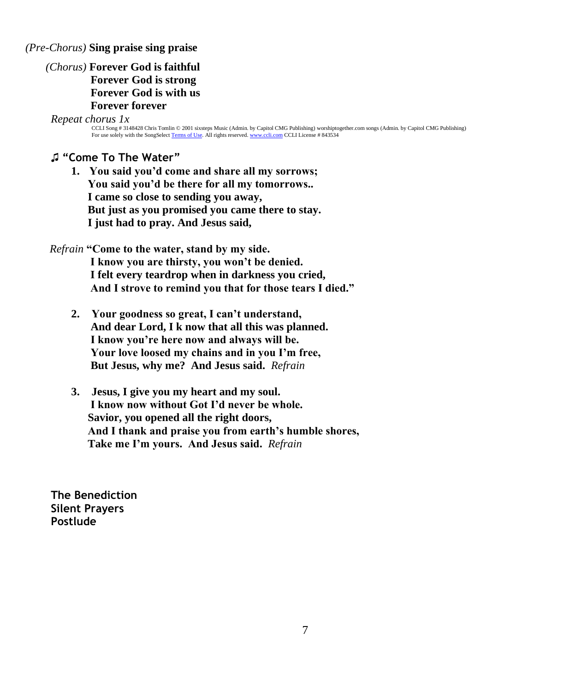*(Pre-Chorus)* **Sing praise sing praise**

#### *(Chorus)* **Forever God is faithful Forever God is strong Forever God is with us Forever forever**

*Repeat chorus 1x*

CCLI Song # 3148428 Chris Tomlin © 2001 sixsteps Music (Admin. by Capitol CMG Publishing) worshiptogether.com songs (Admin. by Capitol CMG Publishing) For use solely with the SongSelec[t Terms of Use.](https://us.songselect.com/about/termsofuse) All rights reserved[. www.ccli.com](http://www.ccli.com/) CCLI License # 843534

## **♫ "Come To The Water"**

**1. You said you'd come and share all my sorrows; You said you'd be there for all my tomorrows.. I came so close to sending you away, But just as you promised you came there to stay. I just had to pray. And Jesus said,**

*Refrain* **"Come to the water, stand by my side.**

 **I know you are thirsty, you won't be denied. I felt every teardrop when in darkness you cried, And I strove to remind you that for those tears I died."**

- **2. Your goodness so great, I can't understand, And dear Lord, I k now that all this was planned. I know you're here now and always will be. Your love loosed my chains and in you I'm free, But Jesus, why me? And Jesus said.** *Refrain*
- **3. Jesus, I give you my heart and my soul. I know now without Got I'd never be whole. Savior, you opened all the right doors, And I thank and praise you from earth's humble shores, Take me I'm yours. And Jesus said.** *Refrain*

**The Benediction Silent Prayers Postlude**